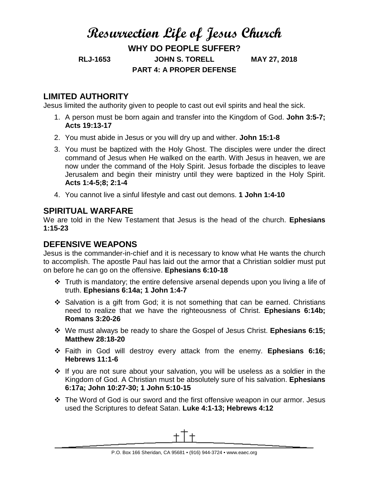# **Resurrection Life of Jesus Church WHY DO PEOPLE SUFFER? RLJ-1653 JOHN S. TORELL MAY 27, 2018 PART 4: A PROPER DEFENSE**

## **LIMITED AUTHORITY**

Jesus limited the authority given to people to cast out evil spirits and heal the sick.

- 1. A person must be born again and transfer into the Kingdom of God. **John 3:5-7; Acts 19:13-17**
- 2. You must abide in Jesus or you will dry up and wither. **John 15:1-8**
- 3. You must be baptized with the Holy Ghost. The disciples were under the direct command of Jesus when He walked on the earth. With Jesus in heaven, we are now under the command of the Holy Spirit. Jesus forbade the disciples to leave Jerusalem and begin their ministry until they were baptized in the Holy Spirit. **Acts 1:4-5;8; 2:1-4**
- 4. You cannot live a sinful lifestyle and cast out demons. **1 John 1:4-10**

## **SPIRITUAL WARFARE**

We are told in the New Testament that Jesus is the head of the church. **Ephesians 1:15-23**

## **DEFENSIVE WEAPONS**

Jesus is the commander-in-chief and it is necessary to know what He wants the church to accomplish. The apostle Paul has laid out the armor that a Christian soldier must put on before he can go on the offensive. **Ephesians 6:10-18**

- $\div$  Truth is mandatory; the entire defensive arsenal depends upon you living a life of truth. **Ephesians 6:14a; 1 John 1:4-7**
- $\div$  Salvation is a gift from God; it is not something that can be earned. Christians need to realize that we have the righteousness of Christ. **Ephesians 6:14b; Romans 3:20-26**
- We must always be ready to share the Gospel of Jesus Christ. **Ephesians 6:15; Matthew 28:18-20**
- Faith in God will destroy every attack from the enemy. **Ephesians 6:16; Hebrews 11:1-6**
- $\cdot \cdot$  If you are not sure about your salvation, you will be useless as a soldier in the Kingdom of God. A Christian must be absolutely sure of his salvation. **Ephesians 6:17a; John 10:27-30; 1 John 5:10-15**
- The Word of God is our sword and the first offensive weapon in our armor. Jesus used the Scriptures to defeat Satan. **Luke 4:1-13; Hebrews 4:12**